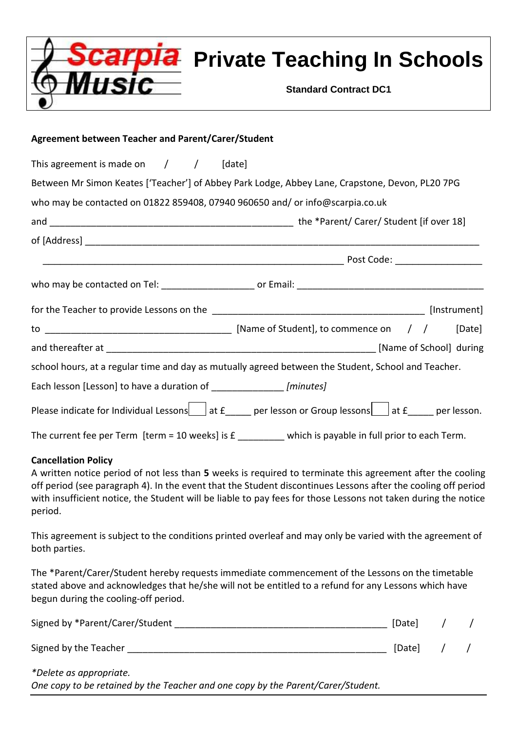|                                                                               | <b>Pla</b> Private Teaching In Schools<br><b>Standard Contract DC1</b>                                                   |  |  |  |
|-------------------------------------------------------------------------------|--------------------------------------------------------------------------------------------------------------------------|--|--|--|
| <b>Agreement between Teacher and Parent/Carer/Student</b>                     |                                                                                                                          |  |  |  |
| This agreement is made on $/$ / [date]                                        |                                                                                                                          |  |  |  |
|                                                                               | Between Mr Simon Keates ['Teacher'] of Abbey Park Lodge, Abbey Lane, Crapstone, Devon, PL20 7PG                          |  |  |  |
| who may be contacted on 01822 859408, 07940 960650 and/ or info@scarpia.co.uk |                                                                                                                          |  |  |  |
|                                                                               |                                                                                                                          |  |  |  |
|                                                                               |                                                                                                                          |  |  |  |
|                                                                               |                                                                                                                          |  |  |  |
|                                                                               |                                                                                                                          |  |  |  |
|                                                                               |                                                                                                                          |  |  |  |
|                                                                               |                                                                                                                          |  |  |  |
|                                                                               |                                                                                                                          |  |  |  |
|                                                                               |                                                                                                                          |  |  |  |
|                                                                               | school hours, at a regular time and day as mutually agreed between the Student, School and Teacher.                      |  |  |  |
| Each lesson [Lesson] to have a duration of _______________ [minutes]          |                                                                                                                          |  |  |  |
|                                                                               | Please indicate for Individual Lessons $\Box$ at $f$ $\Box$ per lesson or Group lessons $\Box$ at $f$ $\Box$ per lesson. |  |  |  |

# **Cancellation Policy**

A written notice period of not less than **5** weeks is required to terminate this agreement after the cooling off period (see paragraph 4). In the event that the Student discontinues Lessons after the cooling off period with insufficient notice, the Student will be liable to pay fees for those Lessons not taken during the notice period.

This agreement is subject to the conditions printed overleaf and may only be varied with the agreement of both parties.

The \*Parent/Carer/Student hereby requests immediate commencement of the Lessons on the timetable stated above and acknowledges that he/she will not be entitled to a refund for any Lessons which have begun during the cooling-off period.

| Signed by *Parent/Carer/Student | [Date] |  |
|---------------------------------|--------|--|
| Signed by the Teacher           | [Date] |  |

*\*Delete as appropriate. One copy to be retained by the Teacher and one copy by the Parent/Carer/Student.*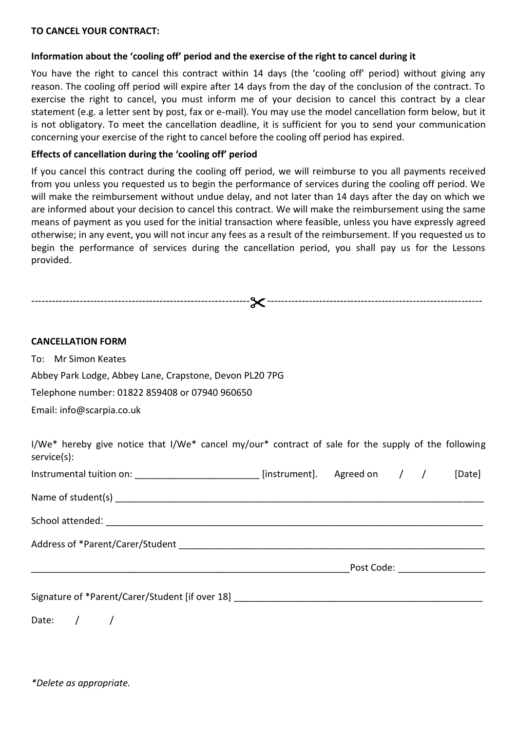## **TO CANCEL YOUR CONTRACT:**

## **Information about the 'cooling off' period and the exercise of the right to cancel during it**

You have the right to cancel this contract within 14 days (the 'cooling off' period) without giving any reason. The cooling off period will expire after 14 days from the day of the conclusion of the contract. To exercise the right to cancel, you must inform me of your decision to cancel this contract by a clear statement (e.g. a letter sent by post, fax or e-mail). You may use the model cancellation form below, but it is not obligatory. To meet the cancellation deadline, it is sufficient for you to send your communication concerning your exercise of the right to cancel before the cooling off period has expired.

## **Effects of cancellation during the 'cooling off' period**

If you cancel this contract during the cooling off period, we will reimburse to you all payments received from you unless you requested us to begin the performance of services during the cooling off period. We will make the reimbursement without undue delay, and not later than 14 days after the day on which we are informed about your decision to cancel this contract. We will make the reimbursement using the same means of payment as you used for the initial transaction where feasible, unless you have expressly agreed otherwise; in any event, you will not incur any fees as a result of the reimbursement. If you requested us to begin the performance of services during the cancellation period, you shall pay us for the Lessons provided.

--------------------------------------------------------------- --------------------------------------------------------------

| <b>CANCELLATION FORM</b>                                                                                                  |  |  |  |  |  |
|---------------------------------------------------------------------------------------------------------------------------|--|--|--|--|--|
| To: Mr Simon Keates                                                                                                       |  |  |  |  |  |
| Abbey Park Lodge, Abbey Lane, Crapstone, Devon PL20 7PG                                                                   |  |  |  |  |  |
| Telephone number: 01822 859408 or 07940 960650                                                                            |  |  |  |  |  |
| Email: info@scarpia.co.uk                                                                                                 |  |  |  |  |  |
| I/We* hereby give notice that I/We* cancel my/our* contract of sale for the supply of the following<br>$s$ ervice $(s)$ : |  |  |  |  |  |
| Instrumental tuition on: ___________________________ [instrument]. Agreed on / / / [Date]                                 |  |  |  |  |  |
|                                                                                                                           |  |  |  |  |  |
|                                                                                                                           |  |  |  |  |  |
|                                                                                                                           |  |  |  |  |  |
|                                                                                                                           |  |  |  |  |  |
| Signature of *Parent/Carer/Student [if over 18] _________________________________                                         |  |  |  |  |  |
| Date: $/$                                                                                                                 |  |  |  |  |  |